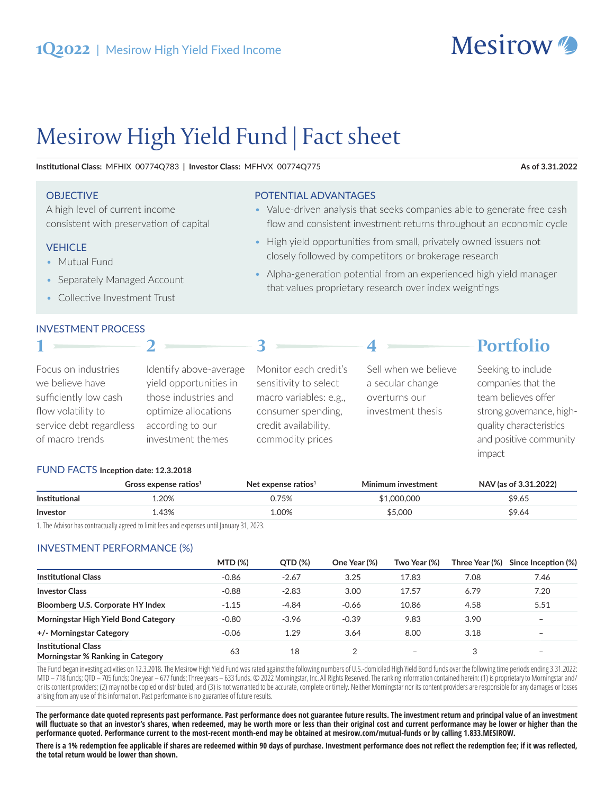

 $D_{\alpha\mu}f_{\alpha}$ :

# Mesirow High Yield Fund | Fact sheet

Institutional Class: MFHIX 00774Q783 | Investor Class: MFHVX 00774Q775

#### As of 3.31.2022

#### **OBJECTIVE**

A high level of current income consistent with preservation of capital

## **VEHICLE**

- Mutual Fund
- Separately Managed Account
- Collective Investment Trust

#### **INVESTMENT PROCESS**

# POTENTIAL ADVANTAGES

- Value-driven analysis that seeks companies able to generate free cash flow and consistent investment returns throughout an economic cycle
- High yield opportunities from small, privately owned issuers not closely followed by competitors or brokerage research

 $\overline{A}$ 

• Alpha-generation potential from an experienced high yield manager that values proprietary research over index weightings

|                                                                  |                                                                          |                                                                          | <u>дн</u>                                                 | POFUOHO                                                                                 |
|------------------------------------------------------------------|--------------------------------------------------------------------------|--------------------------------------------------------------------------|-----------------------------------------------------------|-----------------------------------------------------------------------------------------|
| Focus on industries<br>we believe have<br>sufficiently low cash  | Identify above-average<br>yield opportunities in<br>those industries and | Monitor each credit's<br>sensitivity to select<br>macro variables: e.g., | Sell when we believe<br>a secular change<br>overturns our | Seeking to include<br>companies that the<br>team believes offer                         |
| flow volatility to<br>service debt regardless<br>of macro trends | optimize allocations<br>according to our<br>investment themes            | consumer spending,<br>credit availability,<br>commodity prices           | investment thesis                                         | strong governance, high-<br>quality characteristics<br>and positive community<br>impact |

## FUND FACTS Inception date: 12.3.2018

|                      | Gross expense ratios $1$ | Net expense ratios $^1$ | Minimum investment | NAV (as of 3.31.2022) |
|----------------------|--------------------------|-------------------------|--------------------|-----------------------|
| <b>Institutional</b> | 1.20%                    | 0.75%                   | \$1,000,000        | \$9.65                |
| Investor             | 1.43%                    | 1.00%                   | \$5,000            | \$9.64                |

1. The Advisor has contractually agreed to limit fees and expenses until January 31, 2023.

## **INVESTMENT PERFORMANCE (%)**

|                                                                 | <b>MTD (%)</b> | QTD (%) | One Year (%) | Two Year (%)             |      | Three Year (%) Since Inception (%) |
|-----------------------------------------------------------------|----------------|---------|--------------|--------------------------|------|------------------------------------|
| <b>Institutional Class</b>                                      | $-0.86$        | $-2.67$ | 3.25         | 17.83                    | 7.08 | 7.46                               |
| <b>Investor Class</b>                                           | $-0.88$        | $-2.83$ | 3.00         | 17.57                    | 6.79 | 7.20                               |
| Bloomberg U.S. Corporate HY Index                               | $-1.15$        | $-4.84$ | $-0.66$      | 10.86                    | 4.58 | 5.51                               |
| Morningstar High Yield Bond Category                            | $-0.80$        | $-3.96$ | $-0.39$      | 9.83                     | 3.90 | $\overline{\phantom{0}}$           |
| +/- Morningstar Category                                        | $-0.06$        | 1.29    | 3.64         | 8.00                     | 3.18 | -                                  |
| <b>Institutional Class</b><br>Morningstar % Ranking in Category | 63             | 18      |              | $\overline{\phantom{0}}$ | 3    | -                                  |

The Fund began investing activities on 12.3.2018. The Mesirow High Yield Fund was rated against the following numbers of U.S.-domiciled High Yield Bond funds over the following time periods ending 3.31.2022: MTD - 718 funds; QTD - 705 funds; One year - 677 funds; Three years - 633 funds. © 2022 Morningstar, Inc. All Rights Reserved. The ranking information contained herein: (1) is proprietary to Morningstar and/ or its content providers; (2) may not be copied or distributed; and (3) is not warranted to be accurate, complete or timely. Neither Morningstar nor its content providers are responsible for any damages or losses arising from any use of this information. Past performance is no guarantee of future results.

The performance date quoted represents past performance. Past performance does not guarantee future results. The investment return and principal value of an investment will fluctuate so that an investor's shares, when redeemed, may be worth more or less than their original cost and current performance may be lower or higher than the performance quoted. Performance current to the most-recent month-end may be obtained at mesirow.com/mutual-funds or by calling 1.833.MESIROW.

There is a 1% redemption fee applicable if shares are redeemed within 90 days of purchase. Investment performance does not reflect the redemption fee; if it was reflected, the total return would be lower than shown.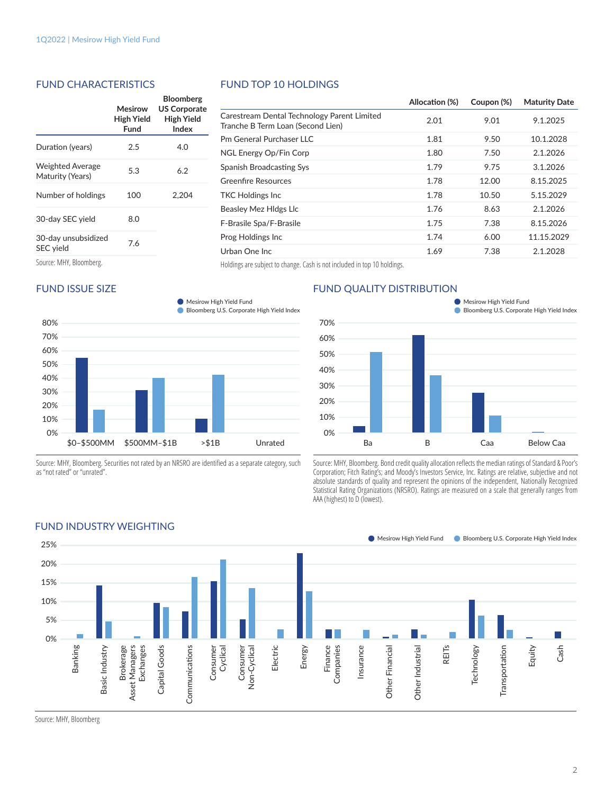#### FUND CHARACTERISTICS

|                                             | Mesirow<br>High Yield<br>Fund | <b>Bloomberg</b><br><b>US Corporate</b><br>High Yield<br>Index |
|---------------------------------------------|-------------------------------|----------------------------------------------------------------|
| Duration (years)                            | 2.5                           | 4.0                                                            |
| <b>Weighted Average</b><br>Maturity (Years) | 5.3                           | 6.2                                                            |
| Number of holdings                          | 100                           | 2.204                                                          |
| 30-day SEC yield                            | 8.0                           |                                                                |
| 30-day unsubsidized<br>SEC yield            | 7.6                           |                                                                |
| Source: MHY, Bloomberg.                     |                               |                                                                |

## FUND ISSUE SIZE



Source: MHY, Bloomberg. Securities not rated by an NRSRO are identified as a separate category, such as "not rated" or "unrated".

## FUND TOP 10 HOLDINGS

|                                                                                  | Allocation (%) | Coupon (%) | <b>Maturity Date</b> |
|----------------------------------------------------------------------------------|----------------|------------|----------------------|
| Carestream Dental Technology Parent Limited<br>Tranche B Term Loan (Second Lien) | 2.01           | 9.01       | 9.1.2025             |
| Pm General Purchaser LLC                                                         | 1.81           | 9.50       | 10.1.2028            |
| NGL Energy Op/Fin Corp                                                           | 1.80           | 7.50       | 2.1.2026             |
| Spanish Broadcasting Sys                                                         | 1.79           | 9.75       | 3.1.2026             |
| Greenfire Resources                                                              | 1.78           | 12.00      | 8.15.2025            |
| TKC Holdings Inc                                                                 | 1.78           | 10.50      | 5.15.2029            |
| Beasley Mez HIdgs LIc                                                            | 1.76           | 8.63       | 2.1.2026             |
| F-Brasile Spa/F-Brasile                                                          | 1.75           | 7.38       | 8.15.2026            |
| Prog Holdings Inc                                                                | 1.74           | 6.00       | 11.15.2029           |
| Urban One Inc                                                                    | 1.69           | 7.38       | 2.1.2028             |
|                                                                                  |                |            |                      |

Holdings are subject to change. Cash is not included in top 10 holdings.

## FUND QUALITY DISTRIBUTION



Source: MHY, Bloomberg. Bond credit quality allocation reflects the median ratings of Standard & Poor's Corporation; Fitch Rating's; and Moody's Investors Service, Inc. Ratings are relative, subjective and not absolute standards of quality and represent the opinions of the independent, Nationally Recognized Statistical Rating Organizations (NRSRO). Ratings are measured on a scale that generally ranges from AAA (highest) to D (lowest).



#### FUND INDUSTRY WEIGHTING

Source: MHY, Bloomberg